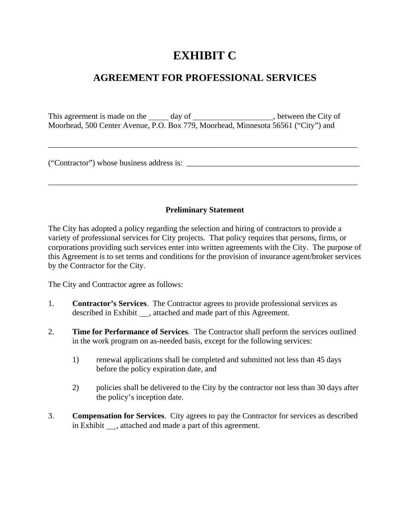## **EXHIBIT C**

## **AGREEMENT FOR PROFESSIONAL SERVICES**

This agreement is made on the  $\_\_\_\_$  day of  $\_\_\_\_\_\_\_\_\_\_$ , between the City of Moorhead, 500 Center Avenue, P.O. Box 779, Moorhead, Minnesota 56561 ("City") and

\_\_\_\_\_\_\_\_\_\_\_\_\_\_\_\_\_\_\_\_\_\_\_\_\_\_\_\_\_\_\_\_\_\_\_\_\_\_\_\_\_\_\_\_\_\_\_\_\_\_\_\_\_\_\_\_\_\_\_\_\_\_\_\_\_\_\_\_\_\_\_\_\_\_\_\_\_

("Contractor") whose business address is:

## **Preliminary Statement**

\_\_\_\_\_\_\_\_\_\_\_\_\_\_\_\_\_\_\_\_\_\_\_\_\_\_\_\_\_\_\_\_\_\_\_\_\_\_\_\_\_\_\_\_\_\_\_\_\_\_\_\_\_\_\_\_\_\_\_\_\_\_\_\_\_\_\_\_\_\_\_\_\_\_\_\_\_

The City has adopted a policy regarding the selection and hiring of contractors to provide a variety of professional services for City projects. That policy requires that persons, firms, or corporations providing such services enter into written agreements with the City. The purpose of this Agreement is to set terms and conditions for the provision of insurance agent/broker services by the Contractor for the City.

The City and Contractor agree as follows:

- 1. **Contractor's Services**. The Contractor agrees to provide professional services as described in Exhibit , attached and made part of this Agreement.
- 2. **Time for Performance of Services**. The Contractor shall perform the services outlined in the work program on as-needed basis, except for the following services:
	- 1) renewal applications shall be completed and submitted not less than 45 days before the policy expiration date, and
	- 2) policies shall be delivered to the City by the contractor not less than 30 days after the policy's inception date.
- 3. **Compensation for Services**. City agrees to pay the Contractor for services as described in Exhibit , attached and made a part of this agreement.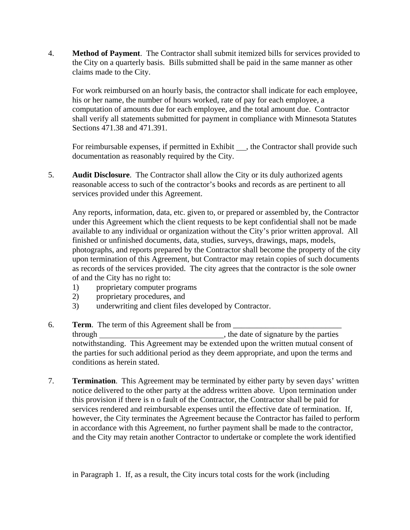4. **Method of Payment**. The Contractor shall submit itemized bills for services provided to the City on a quarterly basis. Bills submitted shall be paid in the same manner as other claims made to the City.

For work reimbursed on an hourly basis, the contractor shall indicate for each employee, his or her name, the number of hours worked, rate of pay for each employee, a computation of amounts due for each employee, and the total amount due. Contractor shall verify all statements submitted for payment in compliance with Minnesota Statutes Sections 471.38 and 471.391.

For reimbursable expenses, if permitted in Exhibit  $\Box$ , the Contractor shall provide such documentation as reasonably required by the City.

5. **Audit Disclosure**. The Contractor shall allow the City or its duly authorized agents reasonable access to such of the contractor's books and records as are pertinent to all services provided under this Agreement.

Any reports, information, data, etc. given to, or prepared or assembled by, the Contractor under this Agreement which the client requests to be kept confidential shall not be made available to any individual or organization without the City's prior written approval. All finished or unfinished documents, data, studies, surveys, drawings, maps, models, photographs, and reports prepared by the Contractor shall become the property of the city upon termination of this Agreement, but Contractor may retain copies of such documents as records of the services provided. The city agrees that the contractor is the sole owner of and the City has no right to:

- 1) proprietary computer programs
- 2) proprietary procedures, and
- 3) underwriting and client files developed by Contractor.
- 6. **Term.** The term of this Agreement shall be from through through , the date of signature by the parties notwithstanding. This Agreement may be extended upon the written mutual consent of the parties for such additional period as they deem appropriate, and upon the terms and conditions as herein stated.
- 7. **Termination**. This Agreement may be terminated by either party by seven days' written notice delivered to the other party at the address written above. Upon termination under this provision if there is n o fault of the Contractor, the Contractor shall be paid for services rendered and reimbursable expenses until the effective date of termination. If, however, the City terminates the Agreement because the Contractor has failed to perform in accordance with this Agreement, no further payment shall be made to the contractor, and the City may retain another Contractor to undertake or complete the work identified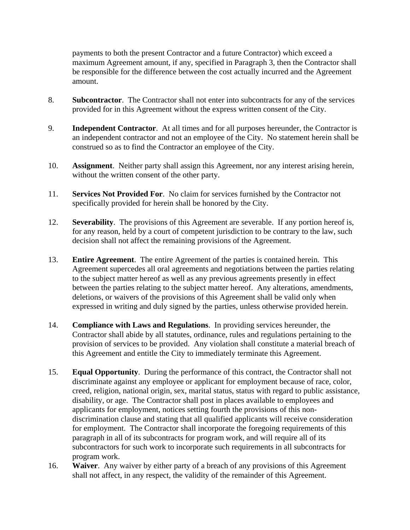payments to both the present Contractor and a future Contractor) which exceed a maximum Agreement amount, if any, specified in Paragraph 3, then the Contractor shall be responsible for the difference between the cost actually incurred and the Agreement amount.

- 8. **Subcontractor**. The Contractor shall not enter into subcontracts for any of the services provided for in this Agreement without the express written consent of the City.
- 9. **Independent Contractor**. At all times and for all purposes hereunder, the Contractor is an independent contractor and not an employee of the City. No statement herein shall be construed so as to find the Contractor an employee of the City.
- 10. **Assignment**. Neither party shall assign this Agreement, nor any interest arising herein, without the written consent of the other party.
- 11. **Services Not Provided For**. No claim for services furnished by the Contractor not specifically provided for herein shall be honored by the City.
- 12. **Severability**. The provisions of this Agreement are severable. If any portion hereof is, for any reason, held by a court of competent jurisdiction to be contrary to the law, such decision shall not affect the remaining provisions of the Agreement.
- 13. **Entire Agreement**. The entire Agreement of the parties is contained herein. This Agreement supercedes all oral agreements and negotiations between the parties relating to the subject matter hereof as well as any previous agreements presently in effect between the parties relating to the subject matter hereof. Any alterations, amendments, deletions, or waivers of the provisions of this Agreement shall be valid only when expressed in writing and duly signed by the parties, unless otherwise provided herein.
- 14. **Compliance with Laws and Regulations**. In providing services hereunder, the Contractor shall abide by all statutes, ordinance, rules and regulations pertaining to the provision of services to be provided. Any violation shall constitute a material breach of this Agreement and entitle the City to immediately terminate this Agreement.
- 15. **Equal Opportunity**. During the performance of this contract, the Contractor shall not discriminate against any employee or applicant for employment because of race, color, creed, religion, national origin, sex, marital status, status with regard to public assistance, disability, or age. The Contractor shall post in places available to employees and applicants for employment, notices setting fourth the provisions of this nondiscrimination clause and stating that all qualified applicants will receive consideration for employment. The Contractor shall incorporate the foregoing requirements of this paragraph in all of its subcontracts for program work, and will require all of its subcontractors for such work to incorporate such requirements in all subcontracts for program work.
- 16. **Waiver**. Any waiver by either party of a breach of any provisions of this Agreement shall not affect, in any respect, the validity of the remainder of this Agreement.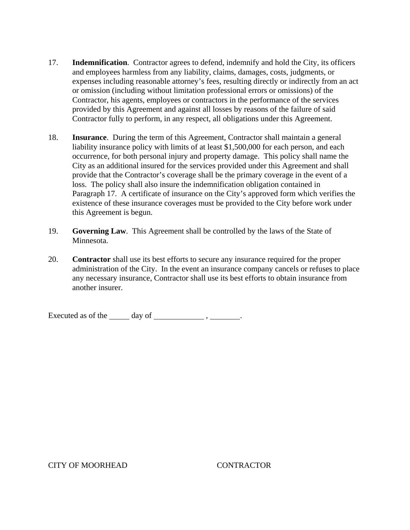- 17. **Indemnification**. Contractor agrees to defend, indemnify and hold the City, its officers and employees harmless from any liability, claims, damages, costs, judgments, or expenses including reasonable attorney's fees, resulting directly or indirectly from an act or omission (including without limitation professional errors or omissions) of the Contractor, his agents, employees or contractors in the performance of the services provided by this Agreement and against all losses by reasons of the failure of said Contractor fully to perform, in any respect, all obligations under this Agreement.
- 18. **Insurance**. During the term of this Agreement, Contractor shall maintain a general liability insurance policy with limits of at least \$1,500,000 for each person, and each occurrence, for both personal injury and property damage. This policy shall name the City as an additional insured for the services provided under this Agreement and shall provide that the Contractor's coverage shall be the primary coverage in the event of a loss. The policy shall also insure the indemnification obligation contained in Paragraph 17. A certificate of insurance on the City's approved form which verifies the existence of these insurance coverages must be provided to the City before work under this Agreement is begun.
- 19. **Governing Law**. This Agreement shall be controlled by the laws of the State of Minnesota.
- 20. **Contractor** shall use its best efforts to secure any insurance required for the proper administration of the City. In the event an insurance company cancels or refuses to place any necessary insurance, Contractor shall use its best efforts to obtain insurance from another insurer.

Executed as of the  $\_\_\_\_\$  day of  $\_\_\_\_\_\_\$ ,  $\_\_\_\_\_\_\$ .

## CITY OF MOORHEAD CONTRACTOR